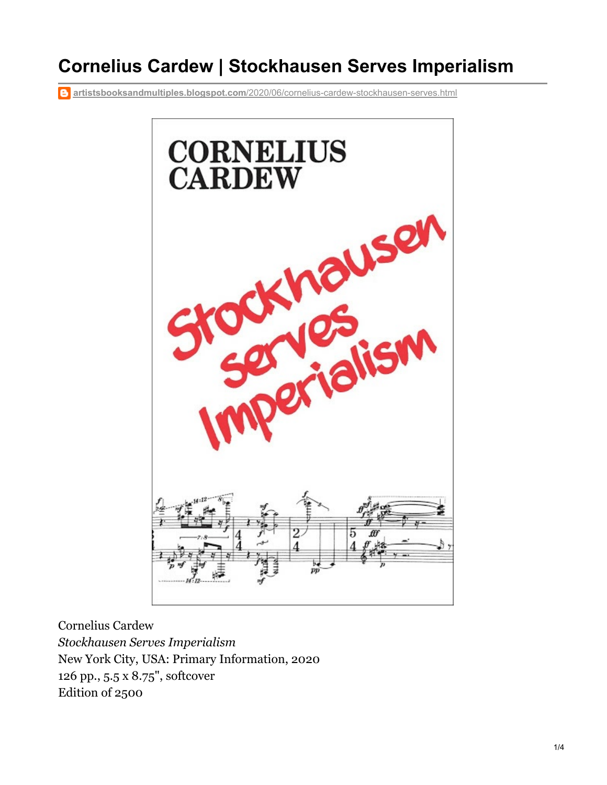## **Cornelius Cardew | Stockhausen Serves Imperialism**

**artistsbooksandmultiples.blogspot.com**[/2020/06/cornelius-cardew-stockhausen-serves.html](http://artistsbooksandmultiples.blogspot.com/2020/06/cornelius-cardew-stockhausen-serves.html)



Cornelius Cardew *Stockhausen Serves Imperialism* New York City, USA: Primary Information, 2020 126 pp., 5.5 x 8.75", softcover Edition of 2500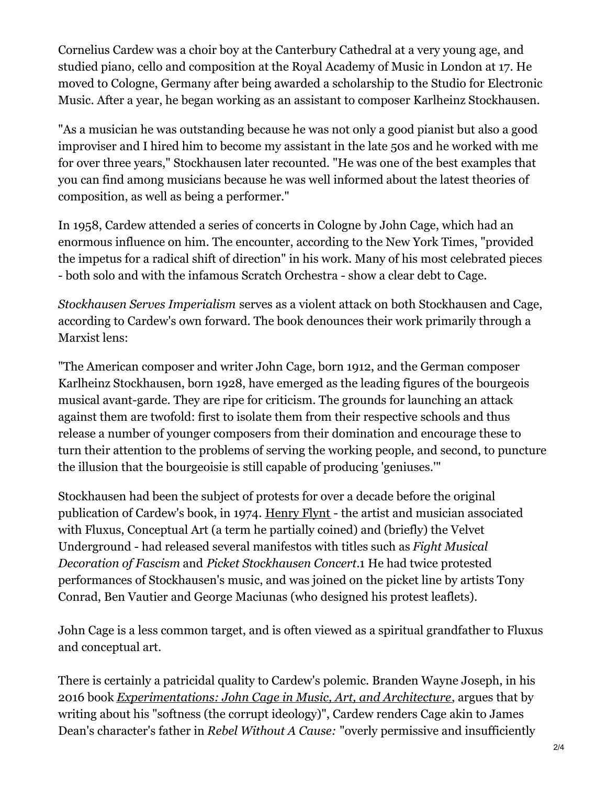Cornelius Cardew was a choir boy at the Canterbury Cathedral at a very young age, and studied piano, cello and composition at the Royal Academy of Music in London at 17. He moved to Cologne, Germany after being awarded a scholarship to the Studio for Electronic Music. After a year, he began working as an assistant to composer Karlheinz Stockhausen.

"As a musician he was outstanding because he was not only a good pianist but also a good improviser and I hired him to become my assistant in the late 50s and he worked with me for over three years," Stockhausen later recounted. "He was one of the best examples that you can find among musicians because he was well informed about the latest theories of composition, as well as being a performer."

In 1958, Cardew attended a series of concerts in Cologne by John Cage, which had an enormous influence on him. The encounter, according to the New York Times, "provided the impetus for a radical shift of direction" in his work. Many of his most celebrated pieces - both solo and with the infamous Scratch Orchestra - show a clear debt to Cage.

*Stockhausen Serves Imperialism* serves as a violent attack on both Stockhausen and Cage, according to Cardew's own forward. The book denounces their work primarily through a Marxist lens:

"The American composer and writer John Cage, born 1912, and the German composer Karlheinz Stockhausen, born 1928, have emerged as the leading figures of the bourgeois musical avant-garde. They are ripe for criticism. The grounds for launching an attack against them are twofold: first to isolate them from their respective schools and thus release a number of younger composers from their domination and encourage these to turn their attention to the problems of serving the working people, and second, to puncture the illusion that the bourgeoisie is still capable of producing 'geniuses.'"

Stockhausen had been the subject of protests for over a decade before the original publication of Cardew's book, in 1974. [Henry](https://artistsbooksandmultiples.blogspot.com/2012/07/henry-flynt-down-with-art.html) Flynt - the artist and musician associated with Fluxus, Conceptual Art (a term he partially coined) and (briefly) the Velvet Underground - had released several manifestos with titles such as *Fight Musical Decoration of Fascism* and *Picket Stockhausen Concert*.1 He had twice protested performances of Stockhausen's music, and was joined on the picket line by artists Tony Conrad, Ben Vautier and George Maciunas (who designed his protest leaflets).

John Cage is a less common target, and is often viewed as a spiritual grandfather to Fluxus and conceptual art.

There is certainly a patricidal quality to Cardew's polemic. Branden Wayne Joseph, in his 2016 book *[Experimentations:](https://artistsbooksandmultiples.blogspot.com/2020/02/branden-wayne-joseph-experimentations.html) John Cage in Music, Art, and Architecture*, argues that by writing about his "softness (the corrupt ideology)", Cardew renders Cage akin to James Dean's character's father in *Rebel Without A Cause:* "overly permissive and insufficiently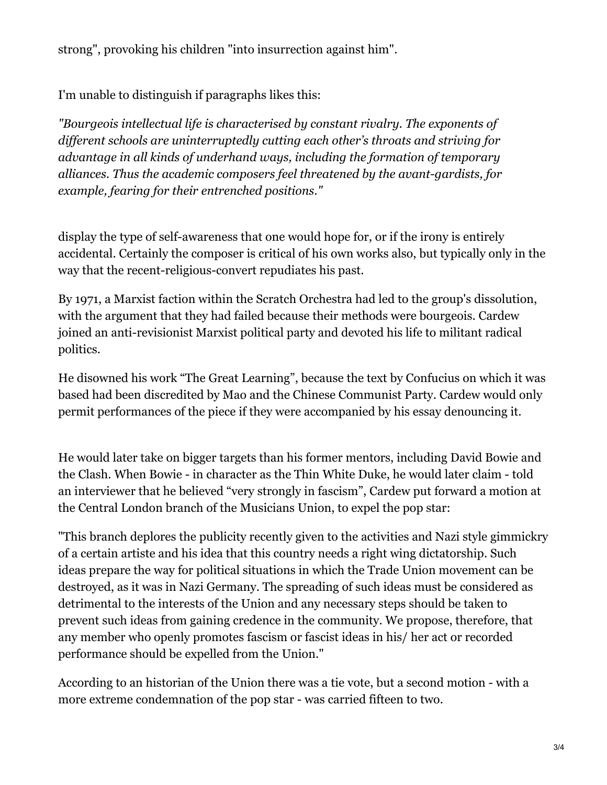strong", provoking his children "into insurrection against him".

I'm unable to distinguish if paragraphs likes this:

*"Bourgeois intellectual life is characterised by constant rivalry. The exponents of dif erent schools are uninterruptedly cutting each other's throats and striving for advantage in all kinds of underhand ways, including the formation of temporary alliances. Thus the academic composers feel threatened by the avant-gardists, for example, fearing for their entrenched positions."*

display the type of self-awareness that one would hope for, or if the irony is entirely accidental. Certainly the composer is critical of his own works also, but typically only in the way that the recent-religious-convert repudiates his past.

By 1971, a Marxist faction within the Scratch Orchestra had led to the group's dissolution, with the argument that they had failed because their methods were bourgeois. Cardew joined an anti-revisionist Marxist political party and devoted his life to militant radical politics.

He disowned his work "The Great Learning", because the text by Confucius on which it was based had been discredited by Mao and the Chinese Communist Party. Cardew would only permit performances of the piece if they were accompanied by his essay denouncing it.

He would later take on bigger targets than his former mentors, including David Bowie and the Clash. When Bowie - in character as the Thin White Duke, he would later claim - told an interviewer that he believed "very strongly in fascism", Cardew put forward a motion at the Central London branch of the Musicians Union, to expel the pop star:

"This branch deplores the publicity recently given to the activities and Nazi style gimmickry of a certain artiste and his idea that this country needs a right wing dictatorship. Such ideas prepare the way for political situations in which the Trade Union movement can be destroyed, as it was in Nazi Germany. The spreading of such ideas must be considered as detrimental to the interests of the Union and any necessary steps should be taken to prevent such ideas from gaining credence in the community. We propose, therefore, that any member who openly promotes fascism or fascist ideas in his/ her act or recorded performance should be expelled from the Union."

According to an historian of the Union there was a tie vote, but a second motion - with a more extreme condemnation of the pop star - was carried fifteen to two.